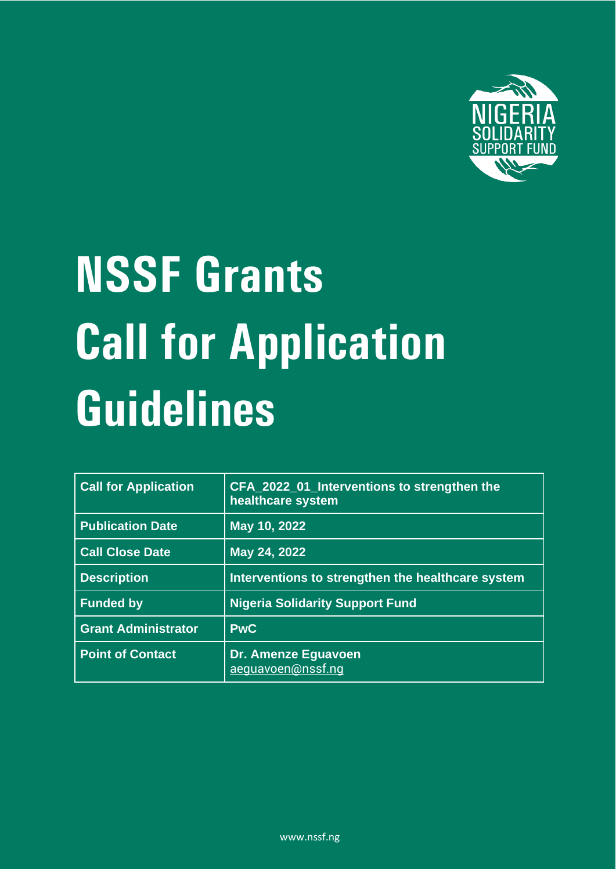

# **NSSF Grants Call for Application Guidelines**

| <b>Call for Application</b> | CFA_2022_01_Interventions to strengthen the<br>healthcare system |
|-----------------------------|------------------------------------------------------------------|
| <b>Publication Date</b>     | May 10, 2022                                                     |
| <b>Call Close Date</b>      | May 24, 2022                                                     |
| <b>Description</b>          | Interventions to strengthen the healthcare system                |
| <b>Funded by</b>            | <b>Nigeria Solidarity Support Fund</b>                           |
| <b>Grant Administrator</b>  | <b>PwC</b>                                                       |
| <b>Point of Contact</b>     | Dr. Amenze Eguavoen<br>aeguavoen@nssf.ng                         |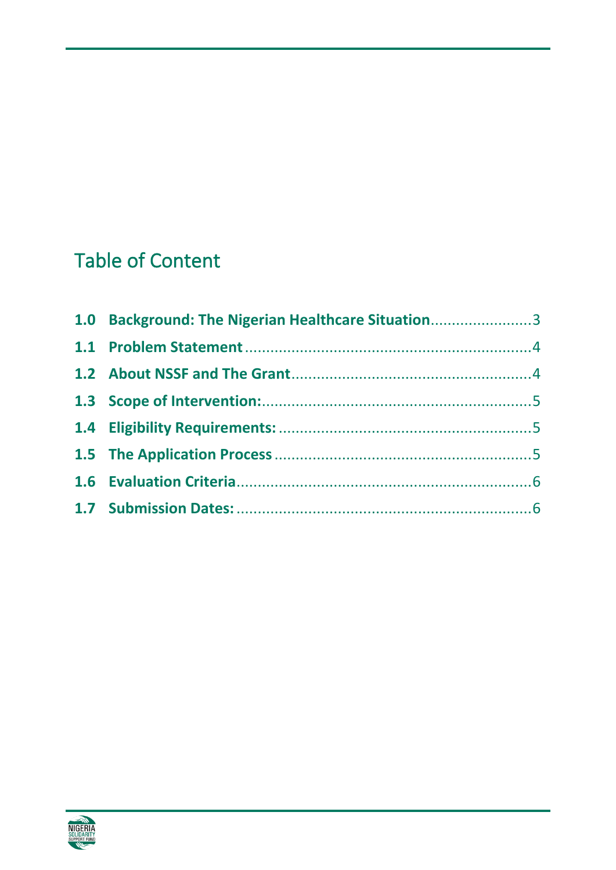# Table of Content

| 1.0 Background: The Nigerian Healthcare Situation3 |  |
|----------------------------------------------------|--|
|                                                    |  |
|                                                    |  |
|                                                    |  |
|                                                    |  |
|                                                    |  |
|                                                    |  |
|                                                    |  |

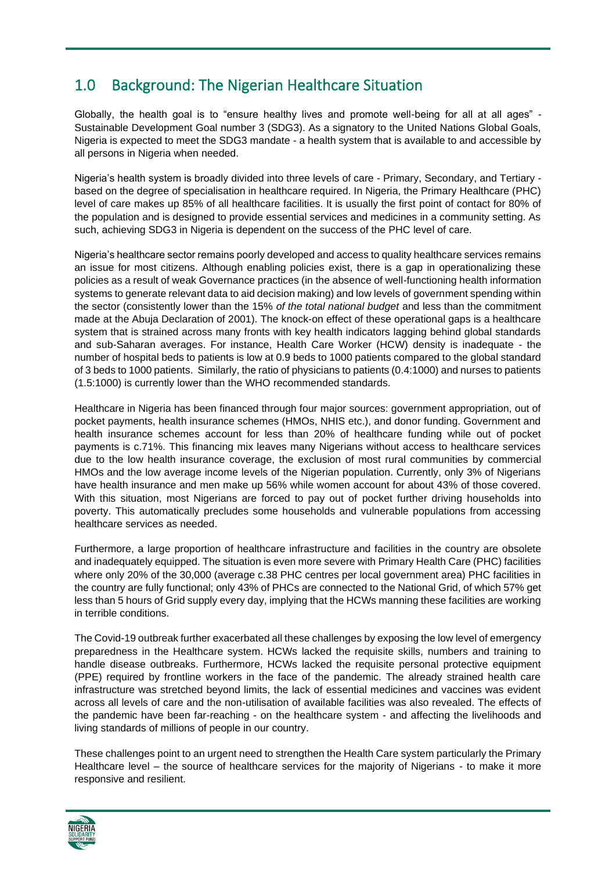# <span id="page-2-0"></span>1.0 Background: The Nigerian Healthcare Situation

Globally, the health goal is to "ensure healthy lives and promote well-being for all at all ages" - Sustainable Development Goal number 3 (SDG3). As a signatory to the United Nations Global Goals, Nigeria is expected to meet the SDG3 mandate - a health system that is available to and accessible by all persons in Nigeria when needed.

Nigeria's health system is broadly divided into three levels of care - Primary, Secondary, and Tertiary based on the degree of specialisation in healthcare required. In Nigeria, the Primary Healthcare (PHC) level of care makes up 85% of all healthcare facilities. It is usually the first point of contact for 80% of the population and is designed to provide essential services and medicines in a community setting. As such, achieving SDG3 in Nigeria is dependent on the success of the PHC level of care.

Nigeria's healthcare sector remains poorly developed and access to quality healthcare services remains an issue for most citizens. Although enabling policies exist, there is a gap in operationalizing these policies as a result of weak Governance practices (in the absence of well-functioning health information systems to generate relevant data to aid decision making) and low levels of government spending within the sector (consistently lower than the 15% *of the total national budget* and less than the commitment made at the Abuja Declaration of 2001). The knock-on effect of these operational gaps is a healthcare system that is strained across many fronts with key health indicators lagging behind global standards and sub-Saharan averages. For instance, Health Care Worker (HCW) density is inadequate - the number of hospital beds to patients is low at 0.9 beds to 1000 patients compared to the global standard of 3 beds to 1000 patients. Similarly, the ratio of physicians to patients (0.4:1000) and nurses to patients (1.5:1000) is currently lower than the WHO recommended standards.

Healthcare in Nigeria has been financed through four major sources: government appropriation, out of pocket payments, health insurance schemes (HMOs, NHIS etc.), and donor funding. Government and health insurance schemes account for less than 20% of healthcare funding while out of pocket payments is c.71%. This financing mix leaves many Nigerians without access to healthcare services due to the low health insurance coverage, the exclusion of most rural communities by commercial HMOs and the low average income levels of the Nigerian population. Currently, only 3% of Nigerians have health insurance and men make up 56% while women account for about 43% of those covered. With this situation, most Nigerians are forced to pay out of pocket further driving households into poverty. This automatically precludes some households and vulnerable populations from accessing healthcare services as needed.

Furthermore, a large proportion of healthcare infrastructure and facilities in the country are obsolete and inadequately equipped. The situation is even more severe with Primary Health Care (PHC) facilities where only 20% of the 30,000 (average c.38 PHC centres per local government area) PHC facilities in the country are fully functional; only 43% of PHCs are connected to the National Grid, of which 57% get less than 5 hours of Grid supply every day, implying that the HCWs manning these facilities are working in terrible conditions.

The Covid-19 outbreak further exacerbated all these challenges by exposing the low level of emergency preparedness in the Healthcare system. HCWs lacked the requisite skills, numbers and training to handle disease outbreaks. Furthermore, HCWs lacked the requisite personal protective equipment (PPE) required by frontline workers in the face of the pandemic. The already strained health care infrastructure was stretched beyond limits, the lack of essential medicines and vaccines was evident across all levels of care and the non-utilisation of available facilities was also revealed. The effects of the pandemic have been far-reaching - on the healthcare system - and affecting the livelihoods and living standards of millions of people in our country.

These challenges point to an urgent need to strengthen the Health Care system particularly the Primary Healthcare level – the source of healthcare services for the majority of Nigerians - to make it more responsive and resilient.

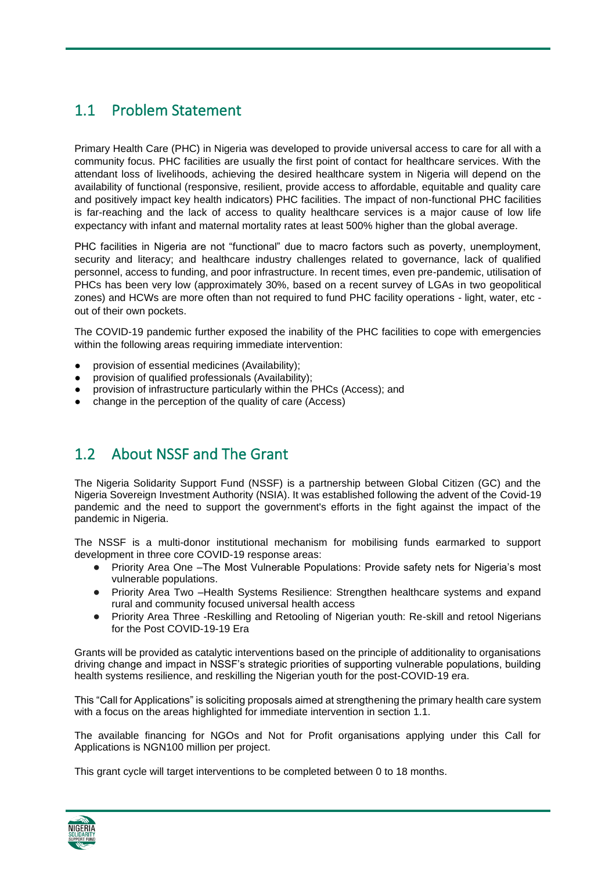#### <span id="page-3-0"></span>1.1 Problem Statement

Primary Health Care (PHC) in Nigeria was developed to provide universal access to care for all with a community focus. PHC facilities are usually the first point of contact for healthcare services. With the attendant loss of livelihoods, achieving the desired healthcare system in Nigeria will depend on the availability of functional (responsive, resilient, provide access to affordable, equitable and quality care and positively impact key health indicators) PHC facilities. The impact of non-functional PHC facilities is far-reaching and the lack of access to quality healthcare services is a major cause of low life expectancy with infant and maternal mortality rates at least 500% higher than the global average.

PHC facilities in Nigeria are not "functional" due to macro factors such as poverty, unemployment, security and literacy; and healthcare industry challenges related to governance, lack of qualified personnel, access to funding, and poor infrastructure. In recent times, even pre-pandemic, utilisation of PHCs has been very low (approximately 30%, based on a recent survey of LGAs in two geopolitical zones) and HCWs are more often than not required to fund PHC facility operations - light, water, etc out of their own pockets.

The COVID-19 pandemic further exposed the inability of the PHC facilities to cope with emergencies within the following areas requiring immediate intervention:

- provision of essential medicines (Availability);
- provision of qualified professionals (Availability);
- provision of infrastructure particularly within the PHCs (Access); and
- change in the perception of the quality of care (Access)

#### <span id="page-3-1"></span>1.2 About NSSF and The Grant

The Nigeria Solidarity Support Fund (NSSF) is a partnership between Global Citizen (GC) and the Nigeria Sovereign Investment Authority (NSIA). It was established following the advent of the Covid-19 pandemic and the need to support the government's efforts in the fight against the impact of the pandemic in Nigeria.

The NSSF is a multi-donor institutional mechanism for mobilising funds earmarked to support development in three core COVID-19 response areas:

- Priority Area One –The Most Vulnerable Populations: Provide safety nets for Nigeria's most vulnerable populations.
- Priority Area Two -Health Systems Resilience: Strengthen healthcare systems and expand rural and community focused universal health access
- Priority Area Three -Reskilling and Retooling of Nigerian youth: Re-skill and retool Nigerians for the Post COVID-19-19 Era

Grants will be provided as catalytic interventions based on the principle of additionality to organisations driving change and impact in NSSF's strategic priorities of supporting vulnerable populations, building health systems resilience, and reskilling the Nigerian youth for the post-COVID-19 era.

This "Call for Applications" is soliciting proposals aimed at strengthening the primary health care system with a focus on the areas highlighted for immediate intervention in section 1.1.

The available financing for NGOs and Not for Profit organisations applying under this Call for Applications is NGN100 million per project.

This grant cycle will target interventions to be completed between 0 to 18 months.

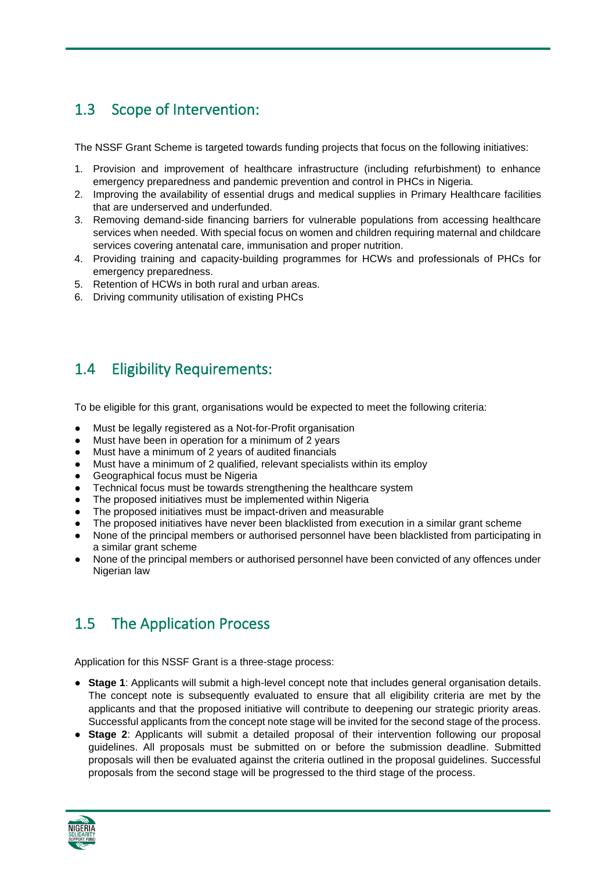# <span id="page-4-0"></span>1.3 Scope of Intervention:

The NSSF Grant Scheme is targeted towards funding projects that focus on the following initiatives:

- 1. Provision and improvement of healthcare infrastructure (including refurbishment) to enhance emergency preparedness and pandemic prevention and control in PHCs in Nigeria.
- 2. Improving the availability of essential drugs and medical supplies in Primary Healthcare facilities that are underserved and underfunded.
- 3. Removing demand-side financing barriers for vulnerable populations from accessing healthcare services when needed. With special focus on women and children requiring maternal and childcare services covering antenatal care, immunisation and proper nutrition.
- 4. Providing training and capacity-building programmes for HCWs and professionals of PHCs for emergency preparedness.
- 5. Retention of HCWs in both rural and urban areas.
- 6. Driving community utilisation of existing PHCs

#### <span id="page-4-1"></span>1.4 Eligibility Requirements:

To be eligible for this grant, organisations would be expected to meet the following criteria:

- Must be legally registered as a Not-for-Profit organisation
- Must have been in operation for a minimum of 2 years
- Must have a minimum of 2 years of audited financials
- Must have a minimum of 2 qualified, relevant specialists within its employ
- Geographical focus must be Nigeria
- Technical focus must be towards strengthening the healthcare system
- The proposed initiatives must be implemented within Nigeria
- The proposed initiatives must be impact-driven and measurable
- The proposed initiatives have never been blacklisted from execution in a similar grant scheme
- None of the principal members or authorised personnel have been blacklisted from participating in a similar grant scheme
- None of the principal members or authorised personnel have been convicted of any offences under Nigerian law

#### <span id="page-4-2"></span>1.5 The Application Process

Application for this NSSF Grant is a three-stage process:

- **Stage 1**: Applicants will submit a high-level concept note that includes general organisation details. The concept note is subsequently evaluated to ensure that all eligibility criteria are met by the applicants and that the proposed initiative will contribute to deepening our strategic priority areas. Successful applicants from the concept note stage will be invited for the second stage of the process.
- **Stage 2**: Applicants will submit a detailed proposal of their intervention following our proposal guidelines. All proposals must be submitted on or before the submission deadline. Submitted proposals will then be evaluated against the criteria outlined in the proposal guidelines. Successful proposals from the second stage will be progressed to the third stage of the process.